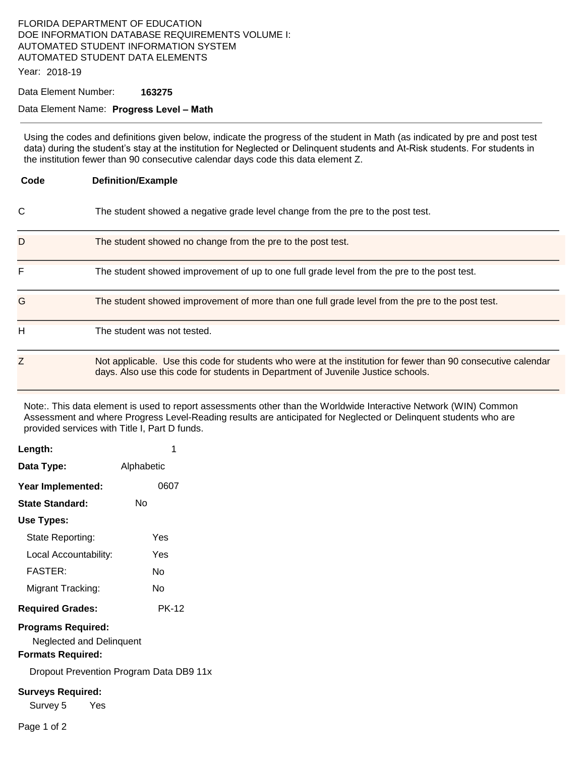### FLORIDA DEPARTMENT OF EDUCATION DOE INFORMATION DATABASE REQUIREMENTS VOLUME I: AUTOMATED STUDENT INFORMATION SYSTEM AUTOMATED STUDENT DATA ELEMENTS

Year: 2018-19

Data Element Number: **163275** 

#### Data Element Name: **Progress Level – Math**

Using the codes and definitions given below, indicate the progress of the student in Math (as indicated by pre and post test data) during the student's stay at the institution for Neglected or Delinquent students and At-Risk students. For students in the institution fewer than 90 consecutive calendar days code this data element Z.

| Code | <b>Definition/Example</b>                                                                                                                                                                         |  |  |
|------|---------------------------------------------------------------------------------------------------------------------------------------------------------------------------------------------------|--|--|
| C    | The student showed a negative grade level change from the pre to the post test.                                                                                                                   |  |  |
| D    | The student showed no change from the pre to the post test.                                                                                                                                       |  |  |
| F    | The student showed improvement of up to one full grade level from the pre to the post test.                                                                                                       |  |  |
| G    | The student showed improvement of more than one full grade level from the pre to the post test.                                                                                                   |  |  |
| н    | The student was not tested.                                                                                                                                                                       |  |  |
| Z    | Not applicable. Use this code for students who were at the institution for fewer than 90 consecutive calendar<br>days. Also use this code for students in Department of Juvenile Justice schools. |  |  |

Note:. This data element is used to report assessments other than the Worldwide Interactive Network (WIN) Common Assessment and where Progress Level-Reading results are anticipated for Neglected or Delinquent students who are provided services with Title I, Part D funds.

| Length:                                                                           |                                         |  |  |
|-----------------------------------------------------------------------------------|-----------------------------------------|--|--|
| Data Type:                                                                        | Alphabetic                              |  |  |
| Year Implemented:                                                                 | 0607                                    |  |  |
| <b>State Standard:</b>                                                            | N٥                                      |  |  |
| Use Types:                                                                        |                                         |  |  |
| State Reporting:                                                                  | Yes                                     |  |  |
| Local Accountability:                                                             | Yes                                     |  |  |
| <b>FASTER:</b>                                                                    | N٥                                      |  |  |
| Migrant Tracking:                                                                 | N٥                                      |  |  |
| <b>Required Grades:</b>                                                           | <b>PK-12</b>                            |  |  |
| <b>Programs Required:</b><br>Neglected and Delinquent<br><b>Formats Required:</b> |                                         |  |  |
|                                                                                   | Dropout Prevention Program Data DB9 11x |  |  |
| <b>Surveys Required:</b><br>Survey 5<br>Yes                                       |                                         |  |  |